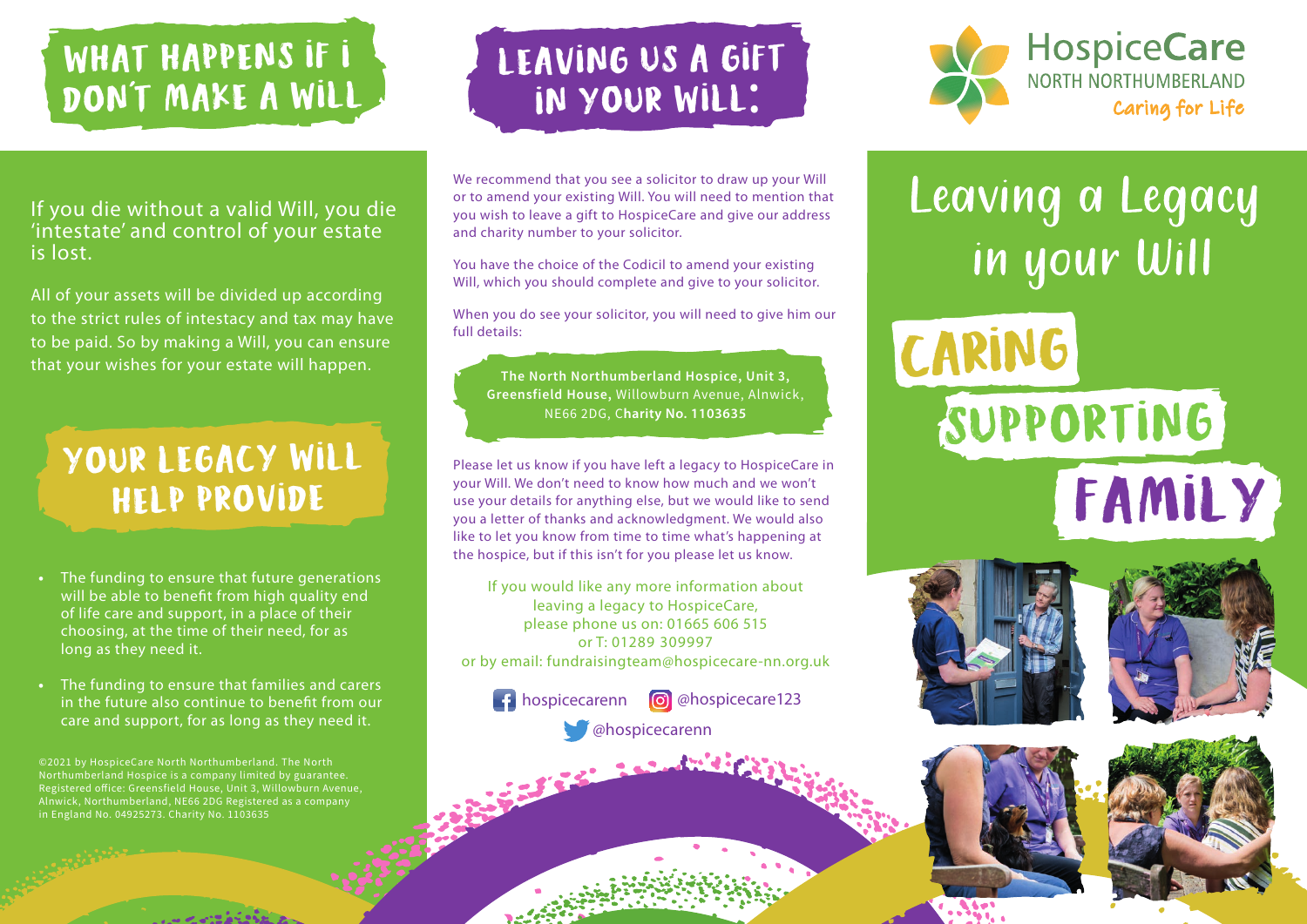# WHAT HAPPENS IF I DON'T MAKE A WILL,

#### If you die without a valid Will, you die 'intestate' and control of your estate is lost.

All of your assets will be divided up according to the strict rules of intestacy and tax may have to be paid. So by making a Will, you can ensure that your wishes for your estate will happen.

### Your legacy will help provide

- The funding to ensure that future generations **•** will be able to benefit from high quality end of life care and support, in a place of their choosing, at the time of their need, for as long as they need it.
- The funding to ensure that families and carers **•** in the future also continue to benefit from our care and support, for as long as they need it.

©2021 by HospiceCare North Northumberland. The North Northumberland Hospice is a company limited by guarantee. Registered office: Greensfield House, Unit 3, Willowburn Avenue, Alnwick, Northumberland, NE66 2DG Registered as a company in England No. 04925273. Charity No. 1103635

# LEAVING US A GIFT in your will:

We recommend that you see a solicitor to draw up your Will or to amend your existing Will. You will need to mention that you wish to leave a gift to HospiceCare and give our address and charity number to your solicitor.

You have the choice of the Codicil to amend your existing Will, which you should complete and give to your solicitor.

When you do see your solicitor, you will need to give him our full details:

The North Northumberland Hospice, Unit 3, Greensfield House, Willowburn Avenue, Alnwick, **harity No. 1103635** 

Please let us know if you have left a legacy to HospiceCare in your Will. We don't need to know how much and we won't use your details for anything else, but we would like to send you a letter of thanks and acknowledgment. We would also like to let you know from time to time what's happening at the hospice, but if this isn't for you please let us know.

If you would like any more information about leaving a legacy to HospiceCare, please phone us on: 01665 606 515 or T: 01289 309997 or by email: fundraisingteam@hospicecare-nn.org.uk





Leaving a Legacy in your Will

**CARRING**  SUPPORTING CARING FAMILY